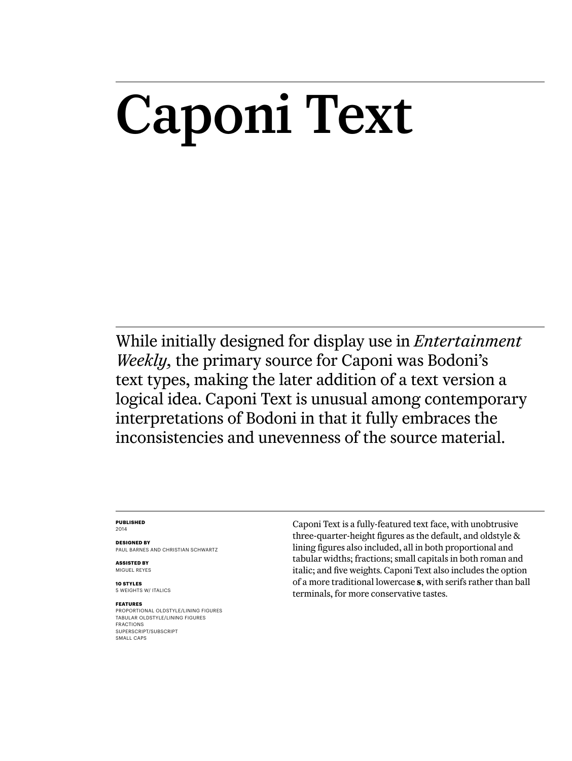# Caponi Text

While initially designed for display use in *Entertainment Weekly,* the primary source for Caponi was Bodoni's text types, making the later addition of a text version a logical idea. Caponi Text is unusual among contemporary interpretations of Bodoni in that it fully embraces the inconsistencies and unevenness of the source material.

#### **Published** 2014

**Designed by** Paul Barnes AND Christian Schwartz

**ASSISTED BY** MIGUEL REYES

**10 styles** 5 weights w/ ITALICS

#### **Features**

Proportional oldstyle/lining figures Tabular oldstyle/lining figures Fractions SUPERSCRIPT/SUBSCRIPT SMALL CAPS

Caponi Text is a fully-featured text face, with unobtrusive three-quarter-height figures as the default, and oldstyle & lining figures also included, all in both proportional and tabular widths; fractions; small capitals in both roman and italic; and five weights. Caponi Text also includes the option of a more traditional lowercase **s**, with serifs rather than ball terminals, for more conservative tastes.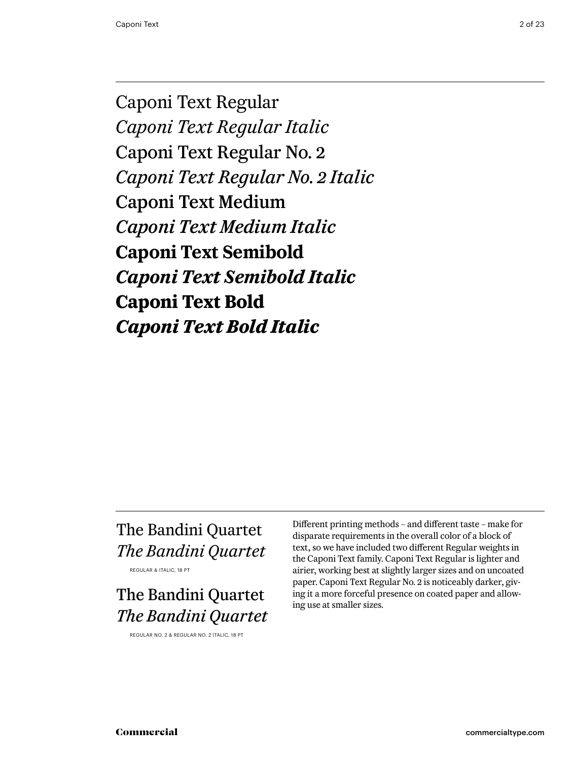Caponi Text Regular *Caponi Text Regular Italic* Caponi Text Regular No. 2 *Caponi Text Regular No. 2 Italic* Caponi Text Medium *Caponi Text Medium Italic* **Caponi Text Semibold** *Caponi Text Semibold Italic* **Caponi Text Bold** *Caponi Text Bold Italic*

# The Bandini Quartet *The Bandini Quartet*

Regular & Italic, 18 pt

# The Bandini Quartet *The Bandini Quartet*

Regular No. 2 & Regular No. 2 Italic, 18 pt

Different printing methods – and different taste – make for disparate requirements in the overall color of a block of text, so we have included two different Regular weights in the Caponi Text family. Caponi Text Regular is lighter and airier, working best at slightly larger sizes and on uncoated paper. Caponi Text Regular No. 2 is noticeably darker, giving it a more forceful presence on coated paper and allowing use at smaller sizes.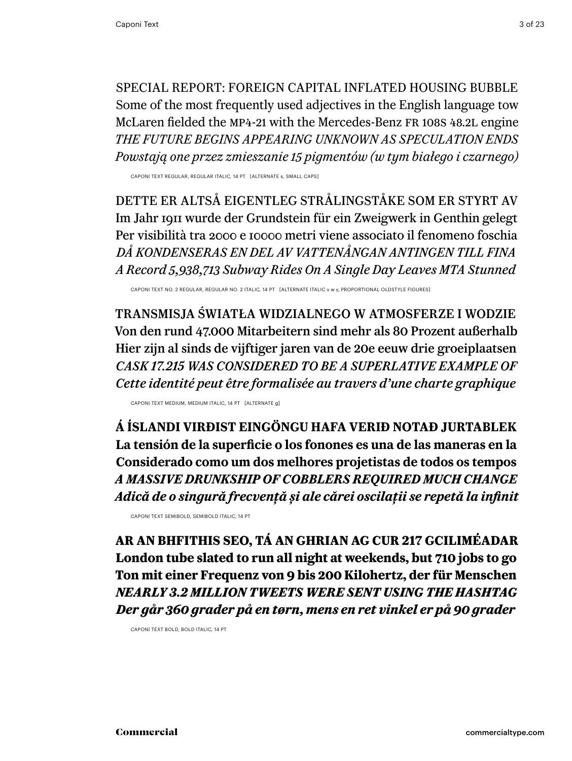special report: Foreign Capital Inflated Housing Bubble Some of the most frequently used adjectives in the English language tow McLaren fielded the MP4-21 with the Mercedes-Benz FR 108s 48.2l engine *the future begins appearing unknown as speculation ends Powstają one przez zmieszanie 15 pigmentów (w tym białego i czarnego)*

Caponi TEXT Regular, Regular Italic, 14 PT [alternate s, small caps]

Dette er altså eigentleg strålingståke som er styrt av Im Jahr 1911 wurde der Grundstein für ein Zweigwerk in Genthin gelegt Per visibilità tra 2000 e 10000 metri viene associato il fenomeno foschia *Då kondenseras en del av vattenångan antingen till fina A Record 5,938,713 Subway Rides On A Single Day Leaves MTA Stunned*

Caponi TEXT No. 2 Regular, Regular No. 2 Italic, 14 PT [alternate ITALIC v w y, proportional oldstyle figures]

Transmisja światła widzialnego w atmosferze i wodzie Von den rund 47.000 Mitarbeitern sind mehr als 80 Prozent außerhalb Hier zijn al sinds de vijftiger jaren van de 20e eeuw drie groeiplaatsen *cask 17.215 was considered to be a superlative example of Cette identité peut être formalisée au travers d'une charte graphique* 

Caponi TEXT Medium, Medium ITALIC, 14 PT [alternate g]

**Á Íslandi virðist eingöngu hafa verið notað jurtablek La tensión de la superficie o los fonones es una de las maneras en la Considerado como um dos melhores projetistas de todos os tempos**  *A massive drunkship of cobblers required much change Adică de o singură frecvență și ale cărei oscilații se repetă la infinit*

Caponi TEXT Semibold, Semibold italic, 14 PT

**Ar an bhfithis seo, tá an Ghrian ag cur 217 gciliméadar London tube slated to run all night at weekends, but 710 jobs to go Ton mit einer Frequenz von 9 bis 200 Kilohertz, der für Menschen** *nearly 3.2 million tweets were sent using the hashtag Der går 360 grader på en tørn, mens en ret vinkel er på 90 grader*

Caponi TEXT Bold, Bold italic, 14 PT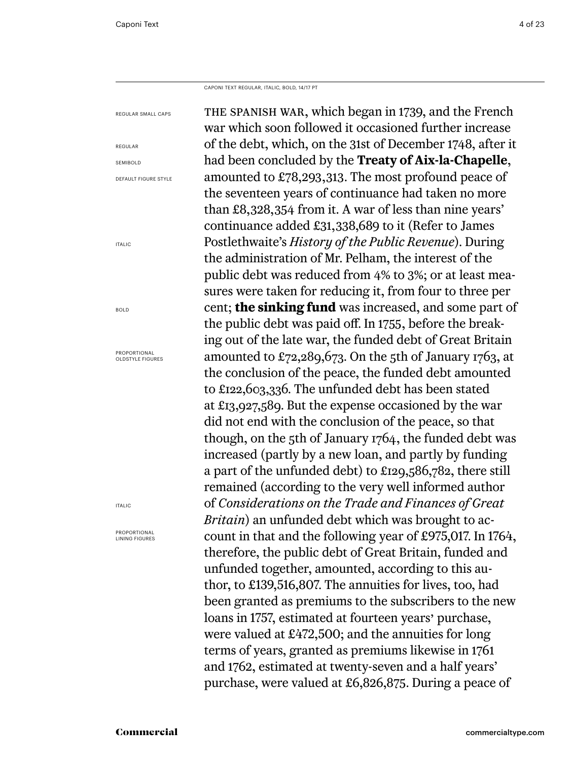Caponi Text Regular, italic, bold, 14/17 PT

| REGULAR SMALL CAPS                      | THE SPANISH WAR, which began in 1739, and the French                |  |  |
|-----------------------------------------|---------------------------------------------------------------------|--|--|
|                                         | war which soon followed it occasioned further increase              |  |  |
| REGULAR                                 | of the debt, which, on the 31st of December 1748, after it          |  |  |
| <b>SEMIBOLD</b>                         | had been concluded by the Treaty of Aix-la-Chapelle,                |  |  |
| DEFAULT FIGURE STYLE                    | amounted to £78,293,313. The most profound peace of                 |  |  |
|                                         | the seventeen years of continuance had taken no more                |  |  |
|                                         | than £8,328,354 from it. A war of less than nine years'             |  |  |
|                                         | continuance added £31,338,689 to it (Refer to James                 |  |  |
| <b>ITALIC</b>                           | Postlethwaite's History of the Public Revenue). During              |  |  |
|                                         | the administration of Mr. Pelham, the interest of the               |  |  |
|                                         | public debt was reduced from 4% to 3%; or at least mea-             |  |  |
|                                         | sures were taken for reducing it, from four to three per            |  |  |
| <b>BOLD</b>                             | cent; the sinking fund was increased, and some part of              |  |  |
|                                         | the public debt was paid off. In 1755, before the break-            |  |  |
|                                         | ing out of the late war, the funded debt of Great Britain           |  |  |
| PROPORTIONAL<br><b>OLDSTYLE FIGURES</b> | amounted to $\pounds$ 72,289,673. On the 5th of January 1763, at    |  |  |
|                                         | the conclusion of the peace, the funded debt amounted               |  |  |
|                                         | to £122,603,336. The unfunded debt has been stated                  |  |  |
|                                         | at £13,927,589. But the expense occasioned by the war               |  |  |
|                                         | did not end with the conclusion of the peace, so that               |  |  |
|                                         | though, on the 5th of January 1764, the funded debt was             |  |  |
|                                         | increased (partly by a new loan, and partly by funding              |  |  |
|                                         | a part of the unfunded debt) to £129,586,782, there still           |  |  |
|                                         | remained (according to the very well informed author                |  |  |
| <b>ITALIC</b>                           | of Considerations on the Trade and Finances of Great                |  |  |
|                                         | Britain) an unfunded debt which was brought to ac-                  |  |  |
| PROPORTIONAL<br><b>LINING FIGURES</b>   | count in that and the following year of £975,017. In 1764,          |  |  |
|                                         | therefore, the public debt of Great Britain, funded and             |  |  |
|                                         | unfunded together, amounted, according to this au-                  |  |  |
|                                         | thor, to £139,516,807. The annuities for lives, too, had            |  |  |
|                                         | been granted as premiums to the subscribers to the new              |  |  |
|                                         | loans in 1757, estimated at fourteen years' purchase,               |  |  |
|                                         | were valued at $\text{\pounds}472,500$ ; and the annuities for long |  |  |
|                                         | terms of years, granted as premiums likewise in 1761                |  |  |
|                                         | and 1762, estimated at twenty-seven and a half years'               |  |  |
|                                         | purchase, were valued at £6,826,875. During a peace of              |  |  |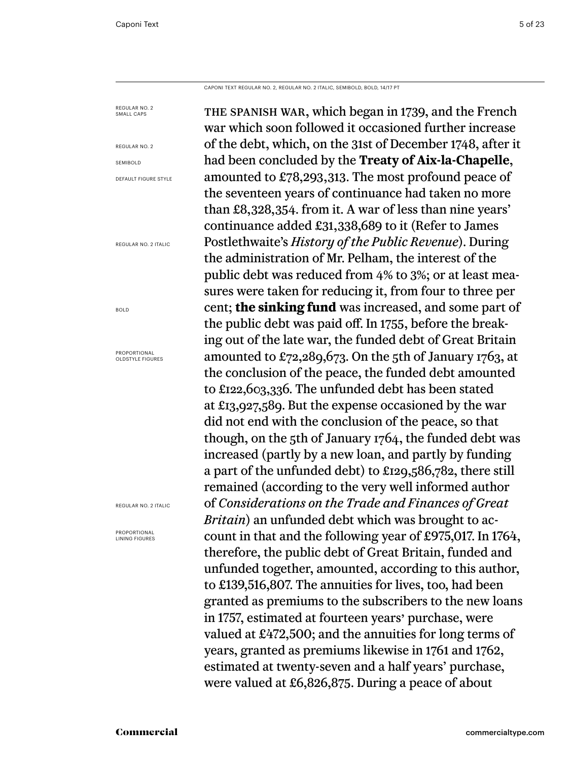Caponi Text Regular No. 2, Regular No. 2 Italic, semibold, bold, 14/17 PT

the spanish war, which began in 1739, and the French war which soon followed it occasioned further increase of the debt, which, on the 31st of December 1748, after it had been concluded by the **Treaty of Aix-la-Chapelle**, amounted to £78,293,313. The most profound peace of the seventeen years of continuance had taken no more than £8,328,354. from it. A war of less than nine years' continuance added £31,338,689 to it (Refer to James Postlethwaite's *History of the Public Revenue*). During the administration of Mr. Pelham, the interest of the public debt was reduced from 4% to 3%; or at least measures were taken for reducing it, from four to three per cent; **the sinking fund** was increased, and some part of the public debt was paid off. In 1755, before the breaking out of the late war, the funded debt of Great Britain amounted to £72,289,673. On the 5th of January 1763, at the conclusion of the peace, the funded debt amounted to £122,603,336. The unfunded debt has been stated at £13,927,589. But the expense occasioned by the war did not end with the conclusion of the peace, so that though, on the 5th of January 1764, the funded debt was increased (partly by a new loan, and partly by funding a part of the unfunded debt) to £129,586,782, there still remained (according to the very well informed author of *Considerations on the Trade and Finances of Great Britain*) an unfunded debt which was brought to account in that and the following year of £975,017. In 1764, therefore, the public debt of Great Britain, funded and unfunded together, amounted, according to this author, to £139,516,807. The annuities for lives, too, had been granted as premiums to the subscribers to the new loans in 1757, estimated at fourteen years' purchase, were valued at £472,500; and the annuities for long terms of years, granted as premiums likewise in 1761 and 1762, estimated at twenty-seven and a half years' purchase, were valued at £6,826,875. During a peace of about Regular no. 2 SMALL CAPS Regular no. 2 SEMIBOLD Default Figure Style Regular No. 2 Italic bold Proportional OLDSTYLE FIGURES Regular No. 2 Italic Proportional Lining figures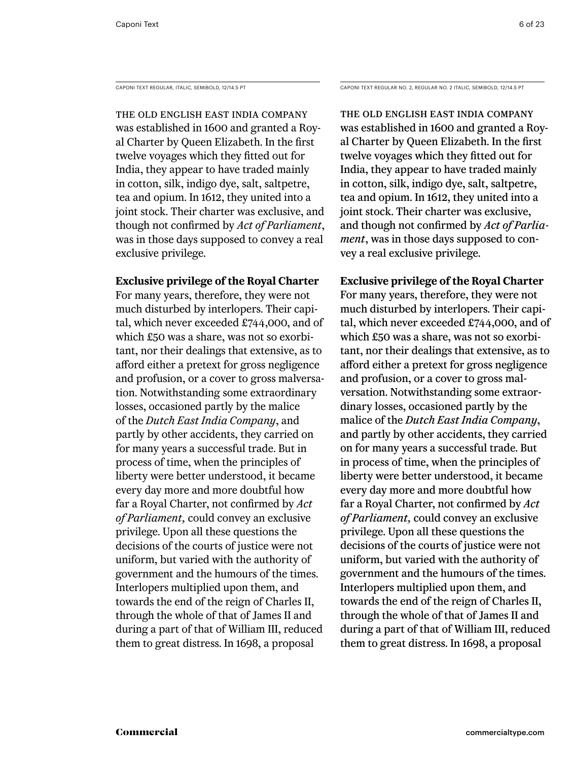The old English East India Company was established in 1600 and granted a Royal Charter by Queen Elizabeth. In the first twelve voyages which they fitted out for India, they appear to have traded mainly in cotton, silk, indigo dye, salt, saltpetre, tea and opium. In 1612, they united into a joint stock. Their charter was exclusive, and though not confirmed by *Act of Parliament*, was in those days supposed to convey a real exclusive privilege.

# **Exclusive privilege of the Royal Charter**

For many years, therefore, they were not much disturbed by interlopers. Their capital, which never exceeded £744,000, and of which £50 was a share, was not so exorbitant, nor their dealings that extensive, as to afford either a pretext for gross negligence and profusion, or a cover to gross malversation. Notwithstanding some extraordinary losses, occasioned partly by the malice of the *Dutch East India Company*, and partly by other accidents, they carried on for many years a successful trade. But in process of time, when the principles of liberty were better understood, it became every day more and more doubtful how far a Royal Charter, not confirmed by *Act of Parliament,* could convey an exclusive privilege. Upon all these questions the decisions of the courts of justice were not uniform, but varied with the authority of government and the humours of the times. Interlopers multiplied upon them, and towards the end of the reign of Charles II, through the whole of that of James II and during a part of that of William III, reduced them to great distress. In 1698, a proposal

Caponi Text Regular, Italic, semibold, 12/14.5 PT Caponi Text Regular No. 2, Regular No. 2 Italic, semibold, 12/14.5 PT

The old English East India Company was established in 1600 and granted a Royal Charter by Queen Elizabeth. In the first twelve voyages which they fitted out for India, they appear to have traded mainly in cotton, silk, indigo dye, salt, saltpetre, tea and opium. In 1612, they united into a joint stock. Their charter was exclusive, and though not confirmed by *Act of Parliament*, was in those days supposed to convey a real exclusive privilege.

# **Exclusive privilege of the Royal Charter**

For many years, therefore, they were not much disturbed by interlopers. Their capital, which never exceeded £744,000, and of which £50 was a share, was not so exorbitant, nor their dealings that extensive, as to afford either a pretext for gross negligence and profusion, or a cover to gross malversation. Notwithstanding some extraordinary losses, occasioned partly by the malice of the *Dutch East India Company*, and partly by other accidents, they carried on for many years a successful trade. But in process of time, when the principles of liberty were better understood, it became every day more and more doubtful how far a Royal Charter, not confirmed by *Act of Parliament,* could convey an exclusive privilege. Upon all these questions the decisions of the courts of justice were not uniform, but varied with the authority of government and the humours of the times. Interlopers multiplied upon them, and towards the end of the reign of Charles II, through the whole of that of James II and during a part of that of William III, reduced them to great distress. In 1698, a proposal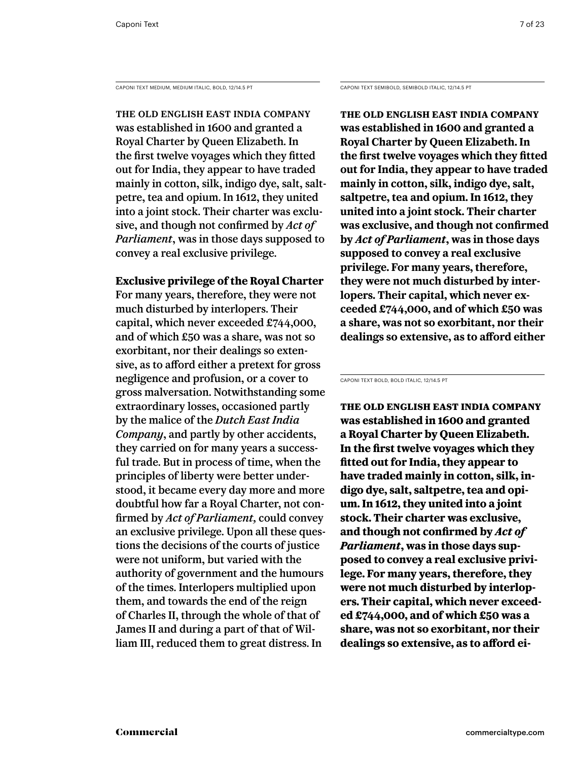CAPONI TEXT MEDIUM, MEDIUM ITALIC, BOLD, 12/14.5 PT CAPONI TEXT SEMIBOLD, SEMIBOLD ITALIC, 12/14.5 PT

The old English East India Company was established in 1600 and granted a Royal Charter by Queen Elizabeth. In the first twelve voyages which they fitted out for India, they appear to have traded mainly in cotton, silk, indigo dye, salt, saltpetre, tea and opium. In 1612, they united into a joint stock. Their charter was exclusive, and though not confirmed by *Act of Parliament*, was in those days supposed to convey a real exclusive privilege.

# **Exclusive privilege of the Royal Charter**

For many years, therefore, they were not much disturbed by interlopers. Their capital, which never exceeded £744,000, and of which £50 was a share, was not so exorbitant, nor their dealings so extensive, as to afford either a pretext for gross negligence and profusion, or a cover to gross malversation. Notwithstanding some extraordinary losses, occasioned partly by the malice of the *Dutch East India Company*, and partly by other accidents, they carried on for many years a successful trade. But in process of time, when the principles of liberty were better understood, it became every day more and more doubtful how far a Royal Charter, not confirmed by *Act of Parliament,* could convey an exclusive privilege. Upon all these questions the decisions of the courts of justice were not uniform, but varied with the authority of government and the humours of the times. Interlopers multiplied upon them, and towards the end of the reign of Charles II, through the whole of that of James II and during a part of that of William III, reduced them to great distress. In

**The old English East India Company was established in 1600 and granted a Royal Charter by Queen Elizabeth. In the first twelve voyages which they fitted out for India, they appear to have traded mainly in cotton, silk, indigo dye, salt, saltpetre, tea and opium. In 1612, they united into a joint stock. Their charter was exclusive, and though not confirmed by** *Act of Parliament***, was in those days supposed to convey a real exclusive privilege. For many years, therefore, they were not much disturbed by interlopers. Their capital, which never exceeded £744,000, and of which £50 was a share, was not so exorbitant, nor their dealings so extensive, as to afford either** 

Caponi Text Bold, Bold ITALIC, 12/14.5 PT

**The old English East India Company was established in 1600 and granted a Royal Charter by Queen Elizabeth. In the first twelve voyages which they fitted out for India, they appear to have traded mainly in cotton, silk, indigo dye, salt, saltpetre, tea and opium. In 1612, they united into a joint stock. Their charter was exclusive, and though not confirmed by** *Act of Parliament***, was in those days supposed to convey a real exclusive privilege. For many years, therefore, they were not much disturbed by interlopers. Their capital, which never exceeded £744,000, and of which £50 was a share, was not so exorbitant, nor their dealings so extensive, as to afford ei-**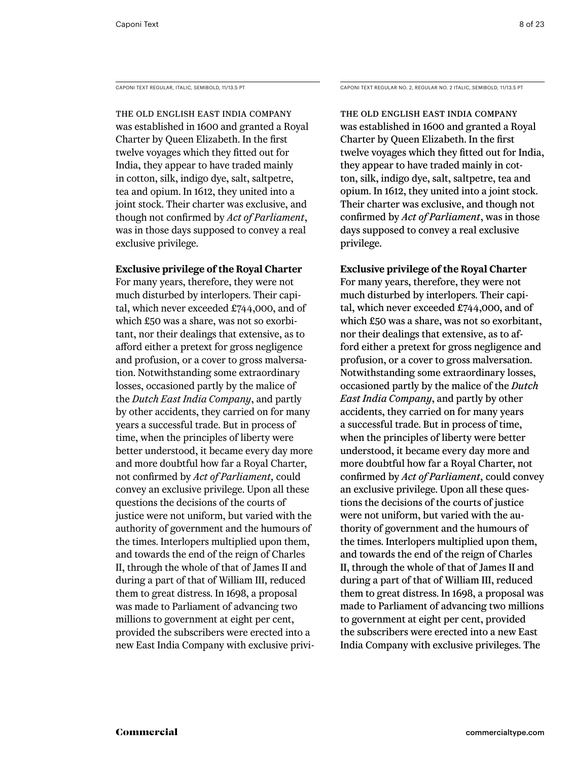The old English East India Company was established in 1600 and granted a Royal Charter by Queen Elizabeth. In the first twelve voyages which they fitted out for India, they appear to have traded mainly in cotton, silk, indigo dye, salt, saltpetre, tea and opium. In 1612, they united into a joint stock. Their charter was exclusive, and though not confirmed by *Act of Parliament*, was in those days supposed to convey a real exclusive privilege.

# **Exclusive privilege of the Royal Charter**

For many years, therefore, they were not much disturbed by interlopers. Their capital, which never exceeded £744,000, and of which £50 was a share, was not so exorbitant, nor their dealings that extensive, as to afford either a pretext for gross negligence and profusion, or a cover to gross malversation. Notwithstanding some extraordinary losses, occasioned partly by the malice of the *Dutch East India Company*, and partly by other accidents, they carried on for many years a successful trade. But in process of time, when the principles of liberty were better understood, it became every day more and more doubtful how far a Royal Charter, not confirmed by *Act of Parliament,* could convey an exclusive privilege. Upon all these questions the decisions of the courts of justice were not uniform, but varied with the authority of government and the humours of the times. Interlopers multiplied upon them, and towards the end of the reign of Charles II, through the whole of that of James II and during a part of that of William III, reduced them to great distress. In 1698, a proposal was made to Parliament of advancing two millions to government at eight per cent, provided the subscribers were erected into a new East India Company with exclusive privi-

Caponi Text Regular, Italic, semibold, 11/13.5 PT Caponi Text Regular No. 2, Regular No. 2 Italic, semibold, 11/13.5 PT

The old English East India Company was established in 1600 and granted a Royal Charter by Queen Elizabeth. In the first twelve voyages which they fitted out for India, they appear to have traded mainly in cotton, silk, indigo dye, salt, saltpetre, tea and opium. In 1612, they united into a joint stock. Their charter was exclusive, and though not confirmed by *Act of Parliament*, was in those days supposed to convey a real exclusive privilege.

# **Exclusive privilege of the Royal Charter**

For many years, therefore, they were not much disturbed by interlopers. Their capital, which never exceeded £744,000, and of which £50 was a share, was not so exorbitant, nor their dealings that extensive, as to afford either a pretext for gross negligence and profusion, or a cover to gross malversation. Notwithstanding some extraordinary losses, occasioned partly by the malice of the *Dutch East India Company*, and partly by other accidents, they carried on for many years a successful trade. But in process of time, when the principles of liberty were better understood, it became every day more and more doubtful how far a Royal Charter, not confirmed by *Act of Parliament,* could convey an exclusive privilege. Upon all these questions the decisions of the courts of justice were not uniform, but varied with the authority of government and the humours of the times. Interlopers multiplied upon them, and towards the end of the reign of Charles II, through the whole of that of James II and during a part of that of William III, reduced them to great distress. In 1698, a proposal was made to Parliament of advancing two millions to government at eight per cent, provided the subscribers were erected into a new East India Company with exclusive privileges. The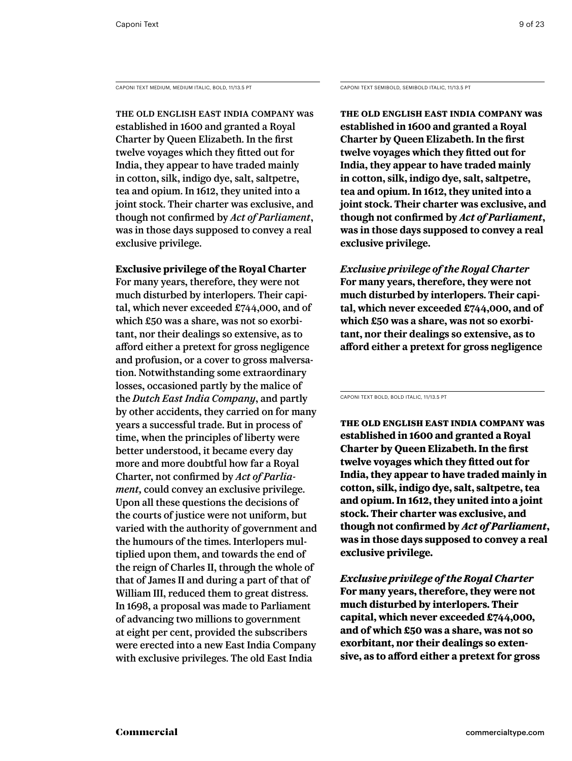CAPONI TEXT MEDIUM, MEDIUM ITALIC, BOLD, 11/13.5 PT CAPONI TEXT SEMIBOLD, SEMIBOLD ITALIC, 11/13.5 PT

The old English East India Company was established in 1600 and granted a Royal Charter by Queen Elizabeth. In the first twelve voyages which they fitted out for India, they appear to have traded mainly in cotton, silk, indigo dye, salt, saltpetre, tea and opium. In 1612, they united into a joint stock. Their charter was exclusive, and though not confirmed by *Act of Parliament*, was in those days supposed to convey a real exclusive privilege.

# **Exclusive privilege of the Royal Charter**

For many years, therefore, they were not much disturbed by interlopers. Their capital, which never exceeded £744,000, and of which £50 was a share, was not so exorbitant, nor their dealings so extensive, as to afford either a pretext for gross negligence and profusion, or a cover to gross malversation. Notwithstanding some extraordinary losses, occasioned partly by the malice of the *Dutch East India Company*, and partly by other accidents, they carried on for many years a successful trade. But in process of time, when the principles of liberty were better understood, it became every day more and more doubtful how far a Royal Charter, not confirmed by *Act of Parliament,* could convey an exclusive privilege. Upon all these questions the decisions of the courts of justice were not uniform, but varied with the authority of government and the humours of the times. Interlopers multiplied upon them, and towards the end of the reign of Charles II, through the whole of that of James II and during a part of that of William III, reduced them to great distress. In 1698, a proposal was made to Parliament of advancing two millions to government at eight per cent, provided the subscribers were erected into a new East India Company with exclusive privileges. The old East India

**The old English East India Company was established in 1600 and granted a Royal Charter by Queen Elizabeth. In the first twelve voyages which they fitted out for India, they appear to have traded mainly in cotton, silk, indigo dye, salt, saltpetre, tea and opium. In 1612, they united into a joint stock. Their charter was exclusive, and though not confirmed by** *Act of Parliament***, was in those days supposed to convey a real exclusive privilege.** 

*Exclusive privilege of the Royal Charter* **For many years, therefore, they were not much disturbed by interlopers. Their capital, which never exceeded £744,000, and of which £50 was a share, was not so exorbitant, nor their dealings so extensive, as to afford either a pretext for gross negligence** 

Caponi Text Bold, Bold ITALIC, 11/13.5 PT

**The old English East India Company was established in 1600 and granted a Royal Charter by Queen Elizabeth. In the first twelve voyages which they fitted out for India, they appear to have traded mainly in cotton, silk, indigo dye, salt, saltpetre, tea and opium. In 1612, they united into a joint stock. Their charter was exclusive, and though not confirmed by** *Act of Parliament***, was in those days supposed to convey a real exclusive privilege.** 

*Exclusive privilege of the Royal Charter* **For many years, therefore, they were not much disturbed by interlopers. Their capital, which never exceeded £744,000, and of which £50 was a share, was not so exorbitant, nor their dealings so extensive, as to afford either a pretext for gross**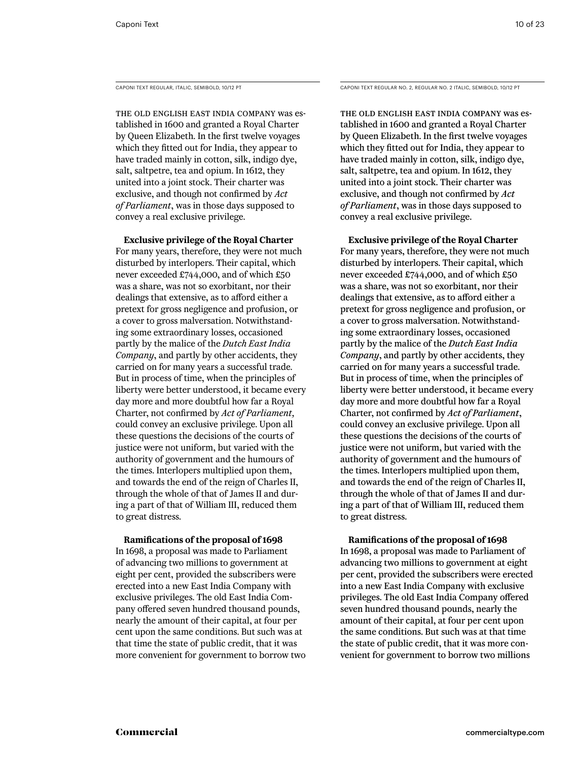The old English East India Company was established in 1600 and granted a Royal Charter by Queen Elizabeth. In the first twelve voyages which they fitted out for India, they appear to have traded mainly in cotton, silk, indigo dye, salt, saltpetre, tea and opium. In 1612, they united into a joint stock. Their charter was exclusive, and though not confirmed by *Act of Parliament*, was in those days supposed to convey a real exclusive privilege.

**Exclusive privilege of the Royal Charter**

For many years, therefore, they were not much disturbed by interlopers. Their capital, which never exceeded £744,000, and of which £50 was a share, was not so exorbitant, nor their dealings that extensive, as to afford either a pretext for gross negligence and profusion, or a cover to gross malversation. Notwithstanding some extraordinary losses, occasioned partly by the malice of the *Dutch East India Company*, and partly by other accidents, they carried on for many years a successful trade. But in process of time, when the principles of liberty were better understood, it became every day more and more doubtful how far a Royal Charter, not confirmed by *Act of Parliament,* could convey an exclusive privilege. Upon all these questions the decisions of the courts of justice were not uniform, but varied with the authority of government and the humours of the times. Interlopers multiplied upon them, and towards the end of the reign of Charles II, through the whole of that of James II and during a part of that of William III, reduced them to great distress.

### **Ramifications of the proposal of 1698**

In 1698, a proposal was made to Parliament of advancing two millions to government at eight per cent, provided the subscribers were erected into a new East India Company with exclusive privileges. The old East India Company offered seven hundred thousand pounds, nearly the amount of their capital, at four per cent upon the same conditions. But such was at that time the state of public credit, that it was more convenient for government to borrow two

Caponi Text Regular, Italic, semibold, 10/12 PT Caponi Text Regular No. 2, Regular No. 2 Italic, semibold, 10/12 PT

The old English East India Company was established in 1600 and granted a Royal Charter by Queen Elizabeth. In the first twelve voyages which they fitted out for India, they appear to have traded mainly in cotton, silk, indigo dye, salt, saltpetre, tea and opium. In 1612, they united into a joint stock. Their charter was exclusive, and though not confirmed by *Act of Parliament*, was in those days supposed to convey a real exclusive privilege.

**Exclusive privilege of the Royal Charter** For many years, therefore, they were not much disturbed by interlopers. Their capital, which never exceeded £744,000, and of which £50 was a share, was not so exorbitant, nor their dealings that extensive, as to afford either a pretext for gross negligence and profusion, or a cover to gross malversation. Notwithstanding some extraordinary losses, occasioned partly by the malice of the *Dutch East India Company*, and partly by other accidents, they carried on for many years a successful trade. But in process of time, when the principles of liberty were better understood, it became every day more and more doubtful how far a Royal Charter, not confirmed by *Act of Parliament*, could convey an exclusive privilege. Upon all these questions the decisions of the courts of justice were not uniform, but varied with the authority of government and the humours of the times. Interlopers multiplied upon them, and towards the end of the reign of Charles II, through the whole of that of James II and during a part of that of William III, reduced them to great distress.

# **Ramifications of the proposal of 1698**

In 1698, a proposal was made to Parliament of advancing two millions to government at eight per cent, provided the subscribers were erected into a new East India Company with exclusive privileges. The old East India Company offered seven hundred thousand pounds, nearly the amount of their capital, at four per cent upon the same conditions. But such was at that time the state of public credit, that it was more convenient for government to borrow two millions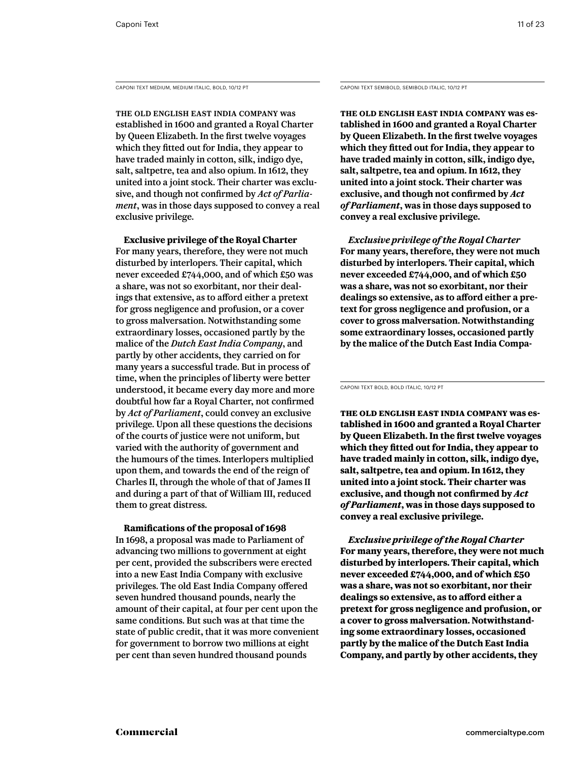CAPONI TEXT MEDIUM, MEDIUM ITALIC, BOLD, 10/12 PT CAPONI CAPONI TEXT SEMIBOLD, SEMIBOLD ITALIC, 10/12 PT

The old English East India Company was established in 1600 and granted a Royal Charter by Queen Elizabeth. In the first twelve voyages which they fitted out for India, they appear to have traded mainly in cotton, silk, indigo dye, salt, saltpetre, tea and also opium. In 1612, they united into a joint stock. Their charter was exclusive, and though not confirmed by *Act of Parliament*, was in those days supposed to convey a real exclusive privilege.

**Exclusive privilege of the Royal Charter** For many years, therefore, they were not much disturbed by interlopers. Their capital, which never exceeded £744,000, and of which £50 was a share, was not so exorbitant, nor their dealings that extensive, as to afford either a pretext for gross negligence and profusion, or a cover to gross malversation. Notwithstanding some extraordinary losses, occasioned partly by the malice of the *Dutch East India Company*, and partly by other accidents, they carried on for many years a successful trade. But in process of time, when the principles of liberty were better understood, it became every day more and more doubtful how far a Royal Charter, not confirmed by *Act of Parliament*, could convey an exclusive privilege. Upon all these questions the decisions of the courts of justice were not uniform, but varied with the authority of government and the humours of the times. Interlopers multiplied upon them, and towards the end of the reign of Charles II, through the whole of that of James II and during a part of that of William III, reduced them to great distress.

## **Ramifications of the proposal of 1698**

In 1698, a proposal was made to Parliament of advancing two millions to government at eight per cent, provided the subscribers were erected into a new East India Company with exclusive privileges. The old East India Company offered seven hundred thousand pounds, nearly the amount of their capital, at four per cent upon the same conditions. But such was at that time the state of public credit, that it was more convenient for government to borrow two millions at eight per cent than seven hundred thousand pounds

**The old English East India Company was established in 1600 and granted a Royal Charter by Queen Elizabeth. In the first twelve voyages which they fitted out for India, they appear to have traded mainly in cotton, silk, indigo dye, salt, saltpetre, tea and opium. In 1612, they united into a joint stock. Their charter was exclusive, and though not confirmed by** *Act of Parliament***, was in those days supposed to convey a real exclusive privilege.** 

*Exclusive privilege of the Royal Charter* **For many years, therefore, they were not much disturbed by interlopers. Their capital, which never exceeded £744,000, and of which £50 was a share, was not so exorbitant, nor their dealings so extensive, as to afford either a pretext for gross negligence and profusion, or a cover to gross malversation. Notwithstanding some extraordinary losses, occasioned partly by the malice of the Dutch East India Compa-**

Caponi Text Bold, Bold ITALIC, 10/12 PT

**The old English East India Company was established in 1600 and granted a Royal Charter by Queen Elizabeth. In the first twelve voyages which they fitted out for India, they appear to have traded mainly in cotton, silk, indigo dye, salt, saltpetre, tea and opium. In 1612, they united into a joint stock. Their charter was exclusive, and though not confirmed by** *Act of Parliament***, was in those days supposed to convey a real exclusive privilege.** 

*Exclusive privilege of the Royal Charter* **For many years, therefore, they were not much disturbed by interlopers. Their capital, which never exceeded £744,000, and of which £50 was a share, was not so exorbitant, nor their dealings so extensive, as to afford either a pretext for gross negligence and profusion, or a cover to gross malversation. Notwithstanding some extraordinary losses, occasioned partly by the malice of the Dutch East India Company, and partly by other accidents, they**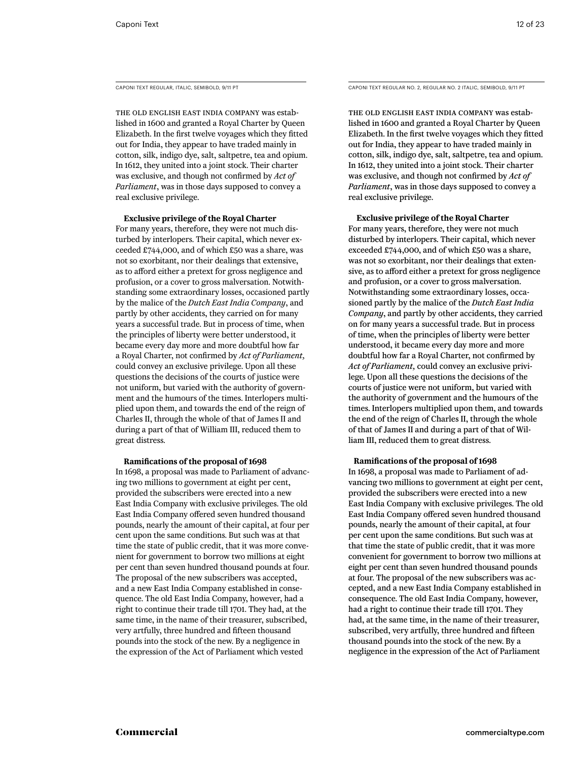The old English East India Company was established in 1600 and granted a Royal Charter by Queen Elizabeth. In the first twelve voyages which they fitted out for India, they appear to have traded mainly in cotton, silk, indigo dye, salt, saltpetre, tea and opium. In 1612, they united into a joint stock. Their charter was exclusive, and though not confirmed by *Act of Parliament*, was in those days supposed to convey a real exclusive privilege.

**Exclusive privilege of the Royal Charter**

For many years, therefore, they were not much disturbed by interlopers. Their capital, which never exceeded £744,000, and of which £50 was a share, was not so exorbitant, nor their dealings that extensive, as to afford either a pretext for gross negligence and profusion, or a cover to gross malversation. Notwithstanding some extraordinary losses, occasioned partly by the malice of the *Dutch East India Company*, and partly by other accidents, they carried on for many years a successful trade. But in process of time, when the principles of liberty were better understood, it became every day more and more doubtful how far a Royal Charter, not confirmed by *Act of Parliament,* could convey an exclusive privilege. Upon all these questions the decisions of the courts of justice were not uniform, but varied with the authority of government and the humours of the times. Interlopers multiplied upon them, and towards the end of the reign of Charles II, through the whole of that of James II and during a part of that of William III, reduced them to great distress.

#### **Ramifications of the proposal of 1698**

In 1698, a proposal was made to Parliament of advancing two millions to government at eight per cent, provided the subscribers were erected into a new East India Company with exclusive privileges. The old East India Company offered seven hundred thousand pounds, nearly the amount of their capital, at four per cent upon the same conditions. But such was at that time the state of public credit, that it was more convenient for government to borrow two millions at eight per cent than seven hundred thousand pounds at four. The proposal of the new subscribers was accepted, and a new East India Company established in consequence. The old East India Company, however, had a right to continue their trade till 1701. They had, at the same time, in the name of their treasurer, subscribed, very artfully, three hundred and fifteen thousand pounds into the stock of the new. By a negligence in the expression of the Act of Parliament which vested

Caponi Text Regular, Italic, semibold, 9/11 PT Caponi Text Regular No. 2, Regular No. 2 Italic, semiBold, 9/11 PT

The old English East India Company was established in 1600 and granted a Royal Charter by Queen Elizabeth. In the first twelve voyages which they fitted out for India, they appear to have traded mainly in cotton, silk, indigo dye, salt, saltpetre, tea and opium. In 1612, they united into a joint stock. Their charter was exclusive, and though not confirmed by *Act of Parliament*, was in those days supposed to convey a real exclusive privilege.

#### **Exclusive privilege of the Royal Charter**

For many years, therefore, they were not much disturbed by interlopers. Their capital, which never exceeded £744,000, and of which £50 was a share, was not so exorbitant, nor their dealings that extensive, as to afford either a pretext for gross negligence and profusion, or a cover to gross malversation. Notwithstanding some extraordinary losses, occasioned partly by the malice of the *Dutch East India Company*, and partly by other accidents, they carried on for many years a successful trade. But in process of time, when the principles of liberty were better understood, it became every day more and more doubtful how far a Royal Charter, not confirmed by *Act of Parliament,* could convey an exclusive privilege. Upon all these questions the decisions of the courts of justice were not uniform, but varied with the authority of government and the humours of the times. Interlopers multiplied upon them, and towards the end of the reign of Charles II, through the whole of that of James II and during a part of that of William III, reduced them to great distress.

#### **Ramifications of the proposal of 1698**

In 1698, a proposal was made to Parliament of advancing two millions to government at eight per cent, provided the subscribers were erected into a new East India Company with exclusive privileges. The old East India Company offered seven hundred thousand pounds, nearly the amount of their capital, at four per cent upon the same conditions. But such was at that time the state of public credit, that it was more convenient for government to borrow two millions at eight per cent than seven hundred thousand pounds at four. The proposal of the new subscribers was accepted, and a new East India Company established in consequence. The old East India Company, however, had a right to continue their trade till 1701. They had, at the same time, in the name of their treasurer, subscribed, very artfully, three hundred and fifteen thousand pounds into the stock of the new. By a negligence in the expression of the Act of Parliament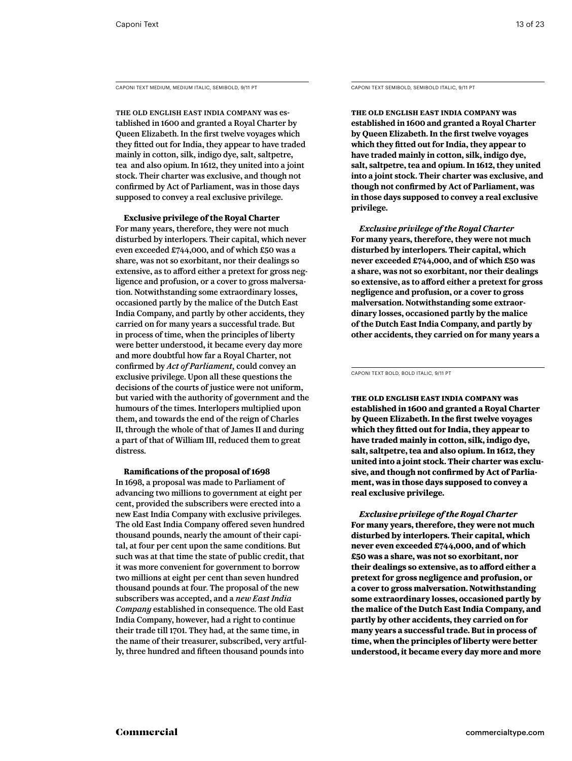CAPONI TEXT MEDIUM, MEDIUM ITALIC, SEMIBOLD, 9/11 PT CAPONI TEXT SEMIBOLD, SEMIBOLD ITALIC, 9/11 PT

The old English East India Company was established in 1600 and granted a Royal Charter by Queen Elizabeth. In the first twelve voyages which they fitted out for India, they appear to have traded mainly in cotton, silk, indigo dye, salt, saltpetre, tea and also opium. In 1612, they united into a joint stock. Their charter was exclusive, and though not confirmed by Act of Parliament, was in those days supposed to convey a real exclusive privilege.

**Exclusive privilege of the Royal Charter**

For many years, therefore, they were not much disturbed by interlopers. Their capital, which never even exceeded £744,000, and of which £50 was a share, was not so exorbitant, nor their dealings so extensive, as to afford either a pretext for gross negligence and profusion, or a cover to gross malversation. Notwithstanding some extraordinary losses, occasioned partly by the malice of the Dutch East India Company, and partly by other accidents, they carried on for many years a successful trade. But in process of time, when the principles of liberty were better understood, it became every day more and more doubtful how far a Royal Charter, not confirmed by *Act of Parliament,* could convey an exclusive privilege. Upon all these questions the decisions of the courts of justice were not uniform, but varied with the authority of government and the humours of the times. Interlopers multiplied upon them, and towards the end of the reign of Charles II, through the whole of that of James II and during a part of that of William III, reduced them to great distress.

**Ramifications of the proposal of 1698** In 1698, a proposal was made to Parliament of advancing two millions to government at eight per cent, provided the subscribers were erected into a new East India Company with exclusive privileges. The old East India Company offered seven hundred thousand pounds, nearly the amount of their capital, at four per cent upon the same conditions. But such was at that time the state of public credit, that it was more convenient for government to borrow two millions at eight per cent than seven hundred thousand pounds at four. The proposal of the new subscribers was accepted, and a *new East India Company* established in consequence. The old East India Company, however, had a right to continue their trade till 1701. They had, at the same time, in the name of their treasurer, subscribed, very artfully, three hundred and fifteen thousand pounds into

**The old English East India Company was established in 1600 and granted a Royal Charter by Queen Elizabeth. In the first twelve voyages which they fitted out for India, they appear to have traded mainly in cotton, silk, indigo dye, salt, saltpetre, tea and opium. In 1612, they united into a joint stock. Their charter was exclusive, and though not confirmed by Act of Parliament, was in those days supposed to convey a real exclusive privilege.** 

*Exclusive privilege of the Royal Charter* **For many years, therefore, they were not much disturbed by interlopers. Their capital, which never exceeded £744,000, and of which £50 was a share, was not so exorbitant, nor their dealings so extensive, as to afford either a pretext for gross negligence and profusion, or a cover to gross malversation. Notwithstanding some extraordinary losses, occasioned partly by the malice of the Dutch East India Company, and partly by other accidents, they carried on for many years a** 

**The old English East India Company was established in 1600 and granted a Royal Charter by Queen Elizabeth. In the first twelve voyages which they fitted out for India, they appear to have traded mainly in cotton, silk, indigo dye, salt, saltpetre, tea and also opium. In 1612, they united into a joint stock. Their charter was exclusive, and though not confirmed by Act of Parliament, was in those days supposed to convey a real exclusive privilege.** 

*Exclusive privilege of the Royal Charter* **For many years, therefore, they were not much disturbed by interlopers. Their capital, which never even exceeded £744,000, and of which £50 was a share, was not so exorbitant, nor their dealings so extensive, as to afford either a pretext for gross negligence and profusion, or a cover to gross malversation. Notwithstanding some extraordinary losses, occasioned partly by the malice of the Dutch East India Company, and partly by other accidents, they carried on for many years a successful trade. But in process of time, when the principles of liberty were better understood, it became every day more and more** 

Caponi Text Bold, Bold ITALIC, 9/11 PT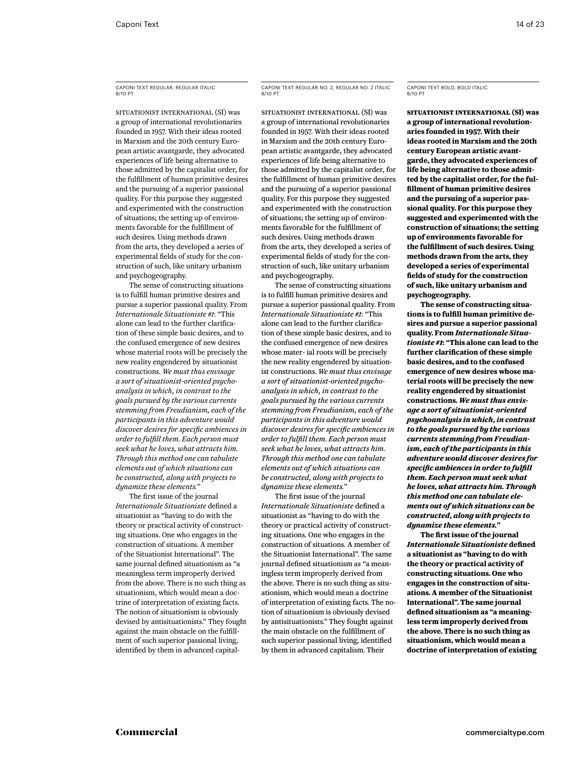# caponi Text regular, regular italic 8/10 PT

SITUATIONIST INTERNATIONAL (SI) was a group of international revolutionaries founded in 1957. With their ideas rooted in Marxism and the 20th century European artistic avantgarde, they advocated experiences of life being alternative to those admitted by the capitalist order, for the fulfillment of human primitive desires and the pursuing of a superior passional quality. For this purpose they suggested and experimented with the construction of situations; the setting up of environments favorable for the fulfillment of such desires. Using methods drawn from the arts, they developed a series of experimental fields of study for the construction of such, like unitary urbanism and psychogeography.

The sense of constructing situations is to fulfill human primitive desires and pursue a superior passional quality. From *Internationale Situationiste #1*: "This alone can lead to the further clarification of these simple basic desires, and to the confused emergence of new desires whose material roots will be precisely the new reality engendered by situationist constructions. *We must thus envisage a sort of situationist-oriented psychoanalysis in which, in contrast to the goals pursued by the various currents stemming from Freudianism, each of the participants in this adventure would discover desires for specific ambiences in order to fulfill them. Each person must seek what he loves, what attracts him. Through this method one can tabulate elements out of which situations can be constructed, along with projects to dynamize these elements.*"

The first issue of the journal *Internationale Situationiste* defined a situationist as "having to do with the theory or practical activity of constructing situations. One who engages in the construction of situations. A member of the Situationist International". The same journal defined situationism as "a meaningless term improperly derived from the above. There is no such thing as situationism, which would mean a doctrine of interpretation of existing facts. The notion of situationism is obviously devised by antisituationists." They fought against the main obstacle on the fulfillment of such superior passional living, identified by them in advanced capital-

# caponi Text regular no. 2, regular no. 2 italic 8/10 PT

SITUATIONIST INTERNATIONAL (SI) was a group of international revolutionaries founded in 1957. With their ideas rooted in Marxism and the 20th century European artistic avantgarde, they advocated experiences of life being alternative to those admitted by the capitalist order, for the fulfillment of human primitive desires and the pursuing of a superior passional quality. For this purpose they suggested and experimented with the construction of situations; the setting up of environments favorable for the fulfillment of such desires. Using methods drawn from the arts, they developed a series of experimental fields of study for the construction of such, like unitary urbanism and psychogeography.

The sense of constructing situations is to fulfill human primitive desires and pursue a superior passional quality. From *Internationale Situationiste #1*: "This alone can lead to the further clarification of these simple basic desires, and to the confused emergence of new desires whose mater- ial roots will be precisely the new reality engendered by situationist constructions. *We must thus envisage a sort of situationist-oriented psychoanalysis in which, in contrast to the goals pursued by the various currents stemming from Freudianism, each of the participants in this adventure would discover desires for specific ambiences in order to fulfill them. Each person must seek what he loves, what attracts him. Through this method one can tabulate elements out of which situations can be constructed, along with projects to dynamize these elements.*"

The first issue of the journal *Internationale Situationiste* defined a situationist as "having to do with the theory or practical activity of constructing situations. One who engages in the construction of situations. A member of the Situationist International". The same journal defined situationism as "a meaningless term improperly derived from the above. There is no such thing as situationism, which would mean a doctrine of interpretation of existing facts. The notion of situationism is obviously devised by antisituationists." They fought against the main obstacle on the fulfillment of such superior passional living, identified by them in advanced capitalism. Their

#### caponi Text bold, bold italic 8/10 PT

**SITUATIONIST INTERNATIONAL (SI) was a group of international revolutionaries founded in 1957. With their ideas rooted in Marxism and the 20th century European artistic avantgarde, they advocated experiences of life being alternative to those admitted by the capitalist order, for the fulfillment of human primitive desires and the pursuing of a superior passional quality. For this purpose they suggested and experimented with the construction of situations; the setting up of environments favorable for the fulfillment of such desires. Using methods drawn from the arts, they developed a series of experimental fields of study for the construction of such, like unitary urbanism and psychogeography.**

**The sense of constructing situations is to fulfill human primitive desires and pursue a superior passional quality. From** *Internationale Situationiste #1***: "This alone can lead to the further clarification of these simple basic desires, and to the confused emergence of new desires whose material roots will be precisely the new reality engendered by situationist constructions.** *We must thus envisage a sort of situationist-oriented psychoanalysis in which, in contrast to the goals pursued by the various currents stemming from Freudianism, each of the participants in this adventure would discover desires for specific ambiences in order to fulfill them. Each person must seek what he loves, what attracts him. Through this method one can tabulate elements out of which situations can be constructed, along with projects to dynamize these elements.***"** 

**The first issue of the journal**  *Internationale Situationiste* **defined a situationist as "having to do with the theory or practical activity of constructing situations. One who engages in the construction of situations. A member of the Situationist International". The same journal defined situationism as "a meaningless term improperly derived from the above. There is no such thing as situationism, which would mean a doctrine of interpretation of existing**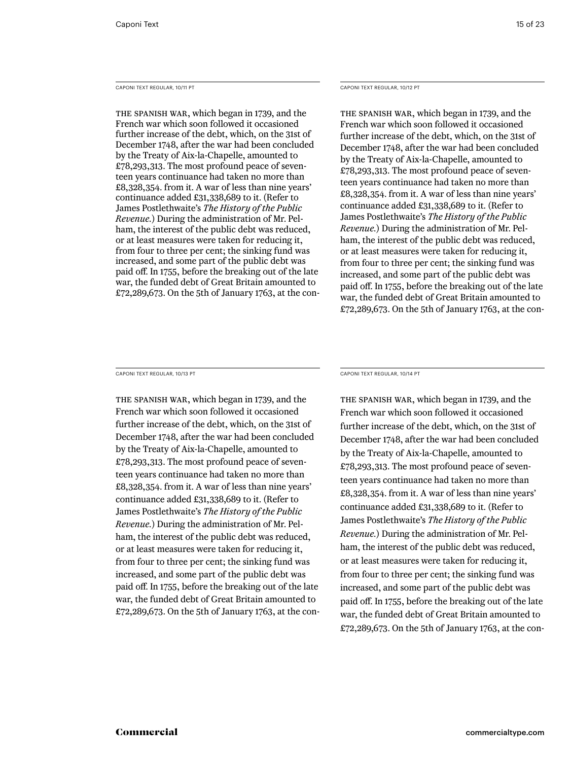Caponi Text Regular, 10/11 PT

The Spanish war, which began in 1739, and the French war which soon followed it occasioned further increase of the debt, which, on the 31st of December 1748, after the war had been concluded by the Treaty of Aix-la-Chapelle, amounted to £78,293,313. The most profound peace of seventeen years continuance had taken no more than £8,328,354. from it. A war of less than nine years' continuance added £31,338,689 to it. (Refer to James Postlethwaite's *The History of the Public Revenue.*) During the administration of Mr. Pelham, the interest of the public debt was reduced, or at least measures were taken for reducing it, from four to three per cent; the sinking fund was increased, and some part of the public debt was paid off. In 1755, before the breaking out of the late war, the funded debt of Great Britain amounted to £72,289,673. On the 5th of January 1763, at the conCaponi Text Regular, 10/12 PT

The Spanish war, which began in 1739, and the French war which soon followed it occasioned further increase of the debt, which, on the 31st of December 1748, after the war had been concluded by the Treaty of Aix-la-Chapelle, amounted to £78,293,313. The most profound peace of seventeen years continuance had taken no more than £8,328,354. from it. A war of less than nine years' continuance added £31,338,689 to it. (Refer to James Postlethwaite's *The History of the Public Revenue.*) During the administration of Mr. Pelham, the interest of the public debt was reduced, or at least measures were taken for reducing it, from four to three per cent; the sinking fund was increased, and some part of the public debt was paid off. In 1755, before the breaking out of the late war, the funded debt of Great Britain amounted to £72,289,673. On the 5th of January 1763, at the con-

Caponi Text Regular, 10/13 PT

The Spanish war, which began in 1739, and the French war which soon followed it occasioned further increase of the debt, which, on the 31st of December 1748, after the war had been concluded by the Treaty of Aix-la-Chapelle, amounted to £78,293,313. The most profound peace of seventeen years continuance had taken no more than £8,328,354. from it. A war of less than nine years' continuance added £31,338,689 to it. (Refer to James Postlethwaite's *The History of the Public Revenue.*) During the administration of Mr. Pelham, the interest of the public debt was reduced, or at least measures were taken for reducing it, from four to three per cent; the sinking fund was increased, and some part of the public debt was paid off. In 1755, before the breaking out of the late war, the funded debt of Great Britain amounted to £72,289,673. On the 5th of January 1763, at the conCaponi Text Regular, 10/14 PT

The Spanish war, which began in 1739, and the French war which soon followed it occasioned further increase of the debt, which, on the 31st of December 1748, after the war had been concluded by the Treaty of Aix-la-Chapelle, amounted to £78,293,313. The most profound peace of seventeen years continuance had taken no more than £8,328,354. from it. A war of less than nine years' continuance added £31,338,689 to it. (Refer to James Postlethwaite's *The History of the Public Revenue.*) During the administration of Mr. Pelham, the interest of the public debt was reduced, or at least measures were taken for reducing it, from four to three per cent; the sinking fund was increased, and some part of the public debt was paid off. In 1755, before the breaking out of the late war, the funded debt of Great Britain amounted to £72,289,673. On the 5th of January 1763, at the con-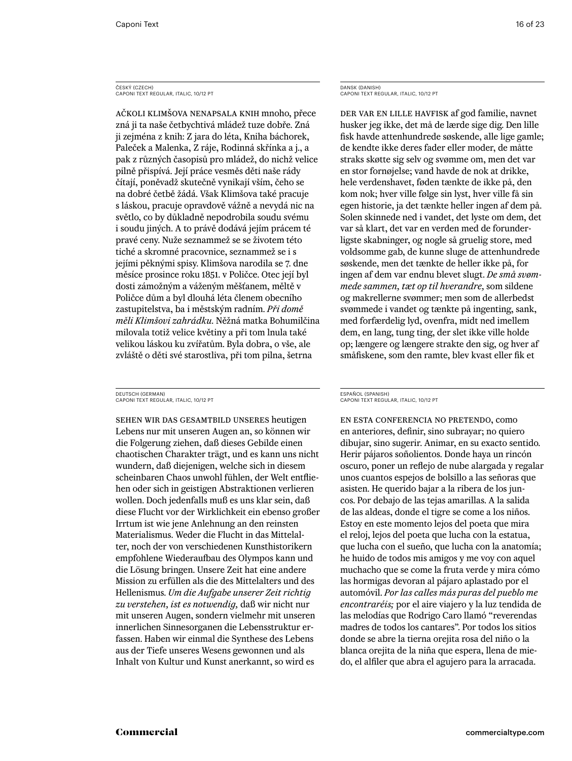# ČESKÝ (CZECH)<br>CAPONI TEXT REGULAR, ITALIC, 10/12 PT

ačkoli klimšova nenapsala knih mnoho, přece zná ji ta naše četbychtivá mládež tuze dobře. Zná ji zejména z knih: Z jara do léta, Kniha báchorek, Paleček a Malenka, Z ráje, Rodinná skřínka a j., a pak z různých časopisů pro mládež, do nichž velice pilně přispívá. Její práce vesměs děti naše rády čítají, poněvadž skutečně vynikají vším, čeho se na dobré četbě žádá. Však Klimšova také pracuje s láskou, pracuje opravdově vážně a nevydá nic na světlo, co by důkladně nepodrobila soudu svému i soudu jiných. A to právě dodává jejím prácem té pravé ceny. Nuže seznammež se se životem této tiché a skromné pracovnice, seznammež se i s jejími pěknými spisy. Klimšova narodila se 7. dne měsíce prosince roku 1851. v Poličce. Otec její byl dosti zámožným a váženým měšťanem, měltě v Poličce dům a byl dlouhá léta členem obecního zastupitelstva, ba i městským radním. *Při domě měli Klimšovi zahrádku.* Něžná matka Bohumilčina milovala totiž velice květiny a při tom lnula také velikou láskou ku zvířatům. Byla dobra, o vše, ale zvláště o děti své starostliva, při tom pilna, šetrna

#### DEUTSCH (GERMAN) Caponi Text Regular, italic, 10/12 PT

Sehen wir das Gesamtbild unseres heutigen Lebens nur mit unseren Augen an, so können wir die Folgerung ziehen, daß dieses Gebilde einen chaotischen Charakter trägt, und es kann uns nicht wundern, daß diejenigen, welche sich in diesem scheinbaren Chaos unwohl fühlen, der Welt entfliehen oder sich in geistigen Abstraktionen verlieren wollen. Doch jedenfalls muß es uns klar sein, daß diese Flucht vor der Wirklichkeit ein ebenso großer Irrtum ist wie jene Anlehnung an den reinsten Materialismus. Weder die Flucht in das Mittelalter, noch der von verschiedenen Kunsthistorikern empfohlene Wiederaufbau des Olympos kann und die Lösung bringen. Unsere Zeit hat eine andere Mission zu erfüllen als die des Mittelalters und des Hellenismus. *Um die Aufgabe unserer Zeit richtig zu verstehen, ist es notwendig,* daß wir nicht nur mit unseren Augen, sondern vielmehr mit unseren innerlichen Sinnesorganen die Lebensstruktur erfassen. Haben wir einmal die Synthese des Lebens aus der Tiefe unseres Wesens gewonnen und als Inhalt von Kultur und Kunst anerkannt, so wird es

DANSK (DANISH) Caponi Text Regular, italic, 10/12 PT

Der var en lille havfisk af god familie, navnet husker jeg ikke, det må de lærde sige dig. Den lille fisk havde attenhundrede søskende, alle lige gamle; de kendte ikke deres fader eller moder, de måtte straks skøtte sig selv og svømme om, men det var en stor fornøjelse; vand havde de nok at drikke, hele verdenshavet, føden tænkte de ikke på, den kom nok; hver ville følge sin lyst, hver ville få sin egen historie, ja det tænkte heller ingen af dem på. Solen skinnede ned i vandet, det lyste om dem, det var så klart, det var en verden med de forunderligste skabninger, og nogle så gruelig store, med voldsomme gab, de kunne sluge de attenhundrede søskende, men det tænkte de heller ikke på, for ingen af dem var endnu blevet slugt. *De små svømmede sammen, tæt op til hverandre,* som sildene og makrellerne svømmer; men som de allerbedst svømmede i vandet og tænkte på ingenting, sank, med forfærdelig lyd, ovenfra, midt ned imellem dem, en lang, tung ting, der slet ikke ville holde op; længere og længere strakte den sig, og hver af småfiskene, som den ramte, blev kvast eller fik et

#### ESPAÑOL (SPANISH) Caponi Text Regular, italic, 10/12 PT

En esta conferencia no pretendo, como en anteriores, definir, sino subrayar; no quiero dibujar, sino sugerir. Animar, en su exacto sentido. Herir pájaros soñolientos. Donde haya un rincón oscuro, poner un reflejo de nube alargada y regalar unos cuantos espejos de bolsillo a las señoras que asisten. He querido bajar a la ribera de los juncos. Por debajo de las tejas amarillas. A la salida de las aldeas, donde el tigre se come a los niños. Estoy en este momento lejos del poeta que mira el reloj, lejos del poeta que lucha con la estatua, que lucha con el sueño, que lucha con la anatomía; he huido de todos mis amigos y me voy con aquel muchacho que se come la fruta verde y mira cómo las hormigas devoran al pájaro aplastado por el automóvil. *Por las calles más puras del pueblo me encontraréis;* por el aire viajero y la luz tendida de las melodías que Rodrigo Caro llamó "reverendas madres de todos los cantares". Por todos los sitios donde se abre la tierna orejita rosa del niño o la blanca orejita de la niña que espera, llena de miedo, el alfiler que abra el agujero para la arracada.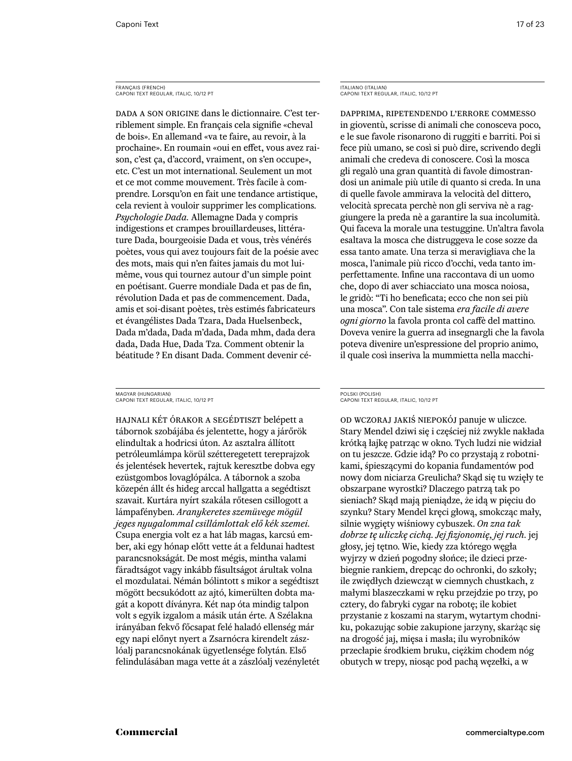# FRANÇAIS (FRENCH) Caponi Text Regular, italic, 10/12 PT

Dada a son origine dans le dictionnaire. C'est terriblement simple. En français cela signifie «cheval de bois». En allemand «va te faire, au revoir, à la prochaine». En roumain «oui en effet, vous avez raison, c'est ça, d'accord, vraiment, on s'en occupe», etc. C'est un mot international. Seulement un mot et ce mot comme mouvement. Très facile à comprendre. Lorsqu'on en fait une tendance artistique, cela revient à vouloir supprimer les complications. *Psychologie Dada.* Allemagne Dada y compris indigestions et crampes brouillardeuses, littérature Dada, bourgeoisie Dada et vous, très vénérés poètes, vous qui avez toujours fait de la poésie avec des mots, mais qui n'en faites jamais du mot luimême, vous qui tournez autour d'un simple point en poétisant. Guerre mondiale Dada et pas de fin, révolution Dada et pas de commencement. Dada, amis et soi-disant poètes, très estimés fabricateurs et évangélistes Dada Tzara, Dada Huelsenbeck, Dada m'dada, Dada m'dada, Dada mhm, dada dera dada, Dada Hue, Dada Tza. Comment obtenir la béatitude ? En disant Dada. Comment devenir cé-

MAGYAR (HUNGARIAN) Caponi Text Regular, italic, 10/12 PT

Hajnali két órakor a segédtiszt belépett a tábornok szobájába és jelentette, hogy a járőrök elindultak a hodricsi úton. Az asztalra állított petróleumlámpa körül szétteregetett tereprajzok és jelentések hevertek, rajtuk keresztbe dobva egy ezüstgombos lovaglópálca. A tábornok a szoba közepén állt és hideg arccal hallgatta a segédtiszt szavait. Kurtára nyírt szakála rőtesen csillogott a lámpafényben. *Aranykeretes szemüvege mögül jeges nyugalommal csillámlottak elő kék szemei.* Csupa energia volt ez a hat láb magas, karcsú ember, aki egy hónap előtt vette át a feldunai hadtest parancsnokságát. De most mégis, mintha valami fáradtságot vagy inkább fásultságot árultak volna el mozdulatai. Némán bólintott s mikor a segédtiszt mögött becsukódott az ajtó, kimerülten dobta magát a kopott díványra. Két nap óta mindig talpon volt s egyik izgalom a másik után érte. A Szélakna irányában fekvő főcsapat felé haladó ellenség már egy napi előnyt nyert a Zsarnócra kirendelt zászlóalj parancsnokának ügyetlensége folytán. Első felindulásában maga vette át a zászlóalj vezényletét ITALIANO (ITALIAN) Caponi Text Regular, italic, 10/12 PT

Dapprima, ripetendendo l'errore commesso in gioventù, scrisse di animali che conosceva poco, e le sue favole risonarono di ruggiti e barriti. Poi si fece più umano, se così si può dire, scrivendo degli animali che credeva di conoscere. Così la mosca gli regalò una gran quantità di favole dimostrandosi un animale più utile di quanto si creda. In una di quelle favole ammirava la velocità del dittero, velocità sprecata perchè non gli serviva nè a raggiungere la preda nè a garantire la sua incolumità. Qui faceva la morale una testuggine. Un'altra favola esaltava la mosca che distruggeva le cose sozze da essa tanto amate. Una terza si meravigliava che la mosca, l'animale più ricco d'occhi, veda tanto imperfettamente. Infine una raccontava di un uomo che, dopo di aver schiacciato una mosca noiosa, le gridò: "Ti ho beneficata; ecco che non sei più una mosca". Con tale sistema *era facile di avere ogni giorno* la favola pronta col caffè del mattino. Doveva venire la guerra ad insegnargli che la favola poteva divenire un'espressione del proprio animo, il quale così inseriva la mummietta nella macchi-

#### POLSKI (POLISH) Caponi Text Regular, italic, 10/12 PT

od wczoraj jakiś niepokój panuje w uliczce. Stary Mendel dziwi się i częściej niż zwykle nakłada krótką łajkę patrząc w okno. Tych ludzi nie widział on tu jeszcze. Gdzie idą? Po co przystają z robotnikami, śpieszącymi do kopania fundamentów pod nowy dom niciarza Greulicha? Skąd się tu wzięły te obszarpane wyrostki? Dlaczego patrzą tak po sieniach? Skąd mają pieniądze, że idą w pięciu do szynku? Stary Mendel kręci głową, smokcząc mały, silnie wygięty wiśniowy cybuszek. *On zna tak dobrze tę uliczkę cichą. Jej fizjonomię, jej ruch.* jej głosy, jej tętno. Wie, kiedy zza którego węgła wyjrzy w dzień pogodny słońce; ile dzieci przebiegnie rankiem, drepcąc do ochronki, do szkoły; ile zwiędłych dziewcząt w ciemnych chustkach, z małymi blaszeczkami w ręku przejdzie po trzy, po cztery, do fabryki cygar na robotę; ile kobiet przystanie z koszami na starym, wytartym chodniku, pokazując sobie zakupione jarzyny, skarżąc się na drogość jaj, mięsa i masła; ilu wyrobników przecłapie środkiem bruku, ciężkim chodem nóg obutych w trepy, niosąc pod pachą węzełki, a w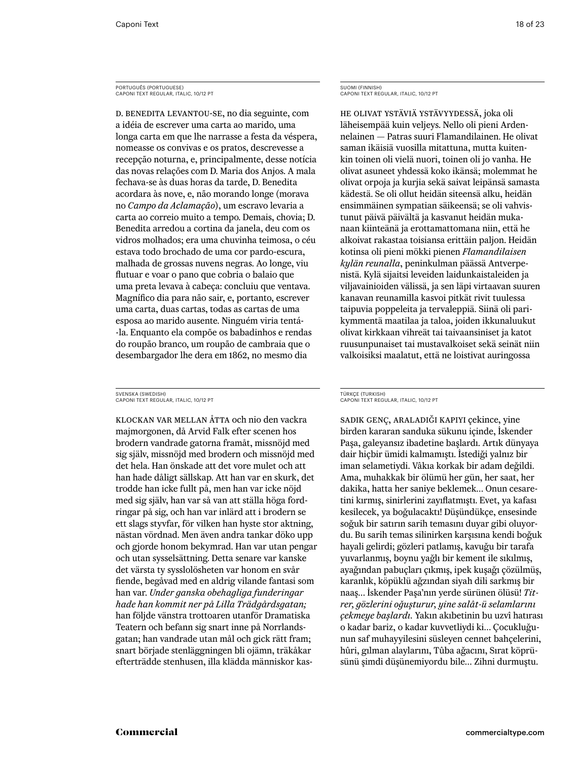PORTUGUÊS (PORTUGUESE) Caponi Text Regular, italic, 10/12 PT

D. Benedita levantou-se, no dia seguinte, com a idéia de escrever uma carta ao marido, uma longa carta em que lhe narrasse a festa da véspera, nomeasse os convivas e os pratos, descrevesse a recepção noturna, e, principalmente, desse notícia das novas relações com D. Maria dos Anjos. A mala fechava-se às duas horas da tarde, D. Benedita acordara às nove, e, não morando longe (morava no *Campo da Aclamação*), um escravo levaria a carta ao correio muito a tempo. Demais, chovia; D. Benedita arredou a cortina da janela, deu com os vidros molhados; era uma chuvinha teimosa, o céu estava todo brochado de uma cor pardo-escura, malhada de grossas nuvens negras. Ao longe, viu flutuar e voar o pano que cobria o balaio que uma preta levava à cabeça: concluiu que ventava. Magnífico dia para não sair, e, portanto, escrever uma carta, duas cartas, todas as cartas de uma esposa ao marido ausente. Ninguém viria tentá- -la. Enquanto ela compõe os babadinhos e rendas do roupão branco, um roupão de cambraia que o desembargador lhe dera em 1862, no mesmo dia

SVENSKA (SWEDISH) Caponi Text Regular, italic, 10/12 PT

Klockan var mellan åtta och nio den vackra majmorgonen, då Arvid Falk efter scenen hos brodern vandrade gatorna framåt, missnöjd med sig själv, missnöjd med brodern och missnöjd med det hela. Han önskade att det vore mulet och att han hade dåligt sällskap. Att han var en skurk, det trodde han icke fullt på, men han var icke nöjd med sig själv, han var så van att ställa höga fordringar på sig, och han var inlärd att i brodern se ett slags styvfar, för vilken han hyste stor aktning, nästan vördnad. Men även andra tankar döko upp och gjorde honom bekymrad. Han var utan pengar och utan sysselsättning. Detta senare var kanske det värsta ty sysslolösheten var honom en svår fiende, begåvad med en aldrig vilande fantasi som han var. *Under ganska obehagliga funderingar hade han kommit ner på Lilla Trädgårdsgatan;* han följde vänstra trottoaren utanför Dramatiska Teatern och befann sig snart inne på Norrlandsgatan; han vandrade utan mål och gick rätt fram; snart började stenläggningen bli ojämn, träkåkar efterträdde stenhusen, illa klädda människor kasSUOMI (FINNISH) Caponi Text Regular, italic, 10/12 PT

He olivat ystäviä ystävyydessä, joka oli läheisempää kuin veljeys. Nello oli pieni Ardennelainen — Patras suuri Flamandilainen. He olivat saman ikäisiä vuosilla mitattuna, mutta kuitenkin toinen oli vielä nuori, toinen oli jo vanha. He olivat asuneet yhdessä koko ikänsä; molemmat he olivat orpoja ja kurjia sekä saivat leipänsä samasta kädestä. Se oli ollut heidän siteensä alku, heidän ensimmäinen sympatian säikeensä; se oli vahvistunut päivä päivältä ja kasvanut heidän mukanaan kiinteänä ja erottamattomana niin, että he alkoivat rakastaa toisiansa erittäin paljon. Heidän kotinsa oli pieni mökki pienen *Flamandilaisen kylän reunalla*, peninkulman päässä Antverpenistä. Kylä sijaitsi leveiden laidunkaistaleiden ja viljavainioiden välissä, ja sen läpi virtaavan suuren kanavan reunamilla kasvoi pitkät rivit tuulessa taipuvia poppeleita ja tervaleppiä. Siinä oli parikymmentä maatilaa ja taloa, joiden ikkunaluukut olivat kirkkaan vihreät tai taivaansiniset ja katot ruusunpunaiset tai mustavalkoiset sekä seinät niin valkoisiksi maalatut, että ne loistivat auringossa

#### TÜRKÇE (TURKISH) CAPONI TEXT REGULAR, ITALIC, 10/12 PT

Sadık genç, araladığı kapıyı çekince, yine birden kararan sanduka sükunu içinde, İskender Paşa, galeyansız ibadetine başlardı. Artık dünyaya dair hiçbir ümidi kalmamıştı. İstediği yalnız bir iman selametiydi. Vâkıa korkak bir adam değildi. Ama, muhakkak bir ölümü her gün, her saat, her dakika, hatta her saniye beklemek… Onun cesaretini kırmış, sinirlerini zayıflatmıştı. Evet, ya kafası kesilecek, ya boğulacaktı! Düşündükçe, ensesinde soğuk bir satırın sarih temasını duyar gibi oluyordu. Bu sarih temas silinirken karşısına kendi boğuk hayali gelirdi; gözleri patlamış, kavuğu bir tarafa yuvarlanmış, boynu yağlı bir kement ile sıkılmış, ayağından pabuçları çıkmış, ipek kuşağı çözülmüş, karanlık, köpüklü ağzından siyah dili sarkmış bir naaş… İskender Paşa'nın yerde sürünen ölüsü! *Titrer, gözlerini oğuşturur, yine salât-ü selamlarını çekmeye başlardı.* Yakın akıbetinin bu uzvî hatırası o kadar bariz, o kadar kuvvetliydi ki… Çocukluğunun saf muhayyilesini süsleyen cennet bahçelerini, hûri, gılman alaylarını, Tûba ağacını, Sırat köprüsünü şimdi düşünemiyordu bile… Zihni durmuştu.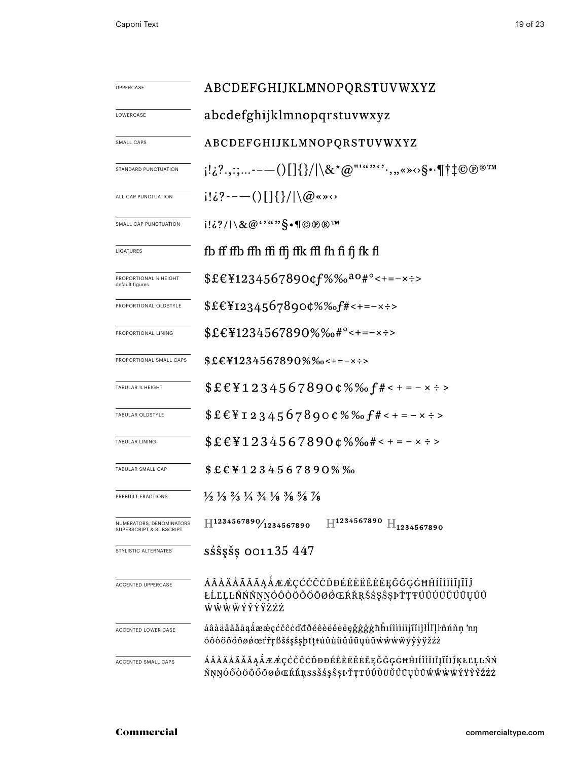| UPPERCASE                                           | ABCDEFGHIJKLMNOPQRSTUVWXYZ                                                                                                                                                           |  |  |
|-----------------------------------------------------|--------------------------------------------------------------------------------------------------------------------------------------------------------------------------------------|--|--|
| LOWERCASE                                           | abcdefghijklmnopqrstuvwxyz                                                                                                                                                           |  |  |
| SMALL CAPS                                          | ABCDEFGHIJKLMNOPQRSTUVWXYZ                                                                                                                                                           |  |  |
| STANDARD PUNCTUATION                                | $\{ \{2^2,\ldots\ldots\{-1\}  \} \} \times \mathcal{O}^{\mathsf{m},\mathsf{c}} \cdot \mathcal{O}, \mathsf{c} \cdot \P \uparrow \downarrow \mathbb{C} \oplus \mathbb{C}^{\mathsf{m}}$ |  |  |
| ALL CAP PUNCTUATION                                 | $i!\&3$ - - $-$ ( ) $\left[\frac{1}{3}\right]$ $\right]$ $\setminus \omega$ « » $\circ$                                                                                              |  |  |
| SMALL CAP PUNCTUATION                               | i!¿?/ \&@'`""\$•¶©®®™                                                                                                                                                                |  |  |
| LIGATURES                                           | fb ff ffb ffh ffi ffj ffk ffl fh fi fj fk fl                                                                                                                                         |  |  |
| <b>PROPORTIONAL % HEIGHT</b><br>default figures     | $$£€¥1234567890¢f%%aa0#°<+=-x÷>$                                                                                                                                                     |  |  |
| PROPORTIONAL OLDSTYLE                               | $$£€¥I234567890¢%%f#<+=-×÷>$                                                                                                                                                         |  |  |
| PROPORTIONAL LINING                                 | $$£€¥1234567890%%o#°<+=-x÷>$                                                                                                                                                         |  |  |
| PROPORTIONAL SMALL CAPS                             | $$£€Y1234567890%$ %-+=-x÷>                                                                                                                                                           |  |  |
| <b>TABULAR % HEIGHT</b>                             | $$EEY12345678900\%%$ f# < + = - x ÷ >                                                                                                                                                |  |  |
| TABULAR OLDSTYLE                                    | $$£E$ ¥I234567890¢%‰ $f$ #<+=-×÷>                                                                                                                                                    |  |  |
| TABULAR LINING                                      | $$£€¥1234567890¢\%%$ %+< + = - × ÷ >                                                                                                                                                 |  |  |
| <b>TABULAR SMALL CAP</b>                            | $$EEY1234567890\%$ %                                                                                                                                                                 |  |  |
| PREBUILT FRACTIONS                                  | $\frac{1}{2}$ $\frac{1}{3}$ $\frac{2}{3}$ $\frac{1}{4}$ $\frac{3}{4}$ $\frac{1}{8}$ $\frac{3}{8}$ $\frac{5}{8}$ $\frac{7}{8}$                                                        |  |  |
| NUMERATORS, DENOMINATORS<br>SUPERSCRIPT & SUBSCRIPT | $\mathbb{H}^{1234567890}$ $\mathbb{H}_{1234567890}$<br>H1234567890/1234567890                                                                                                        |  |  |
| STYLISTIC ALTERNATES                                | $s\acute{s}s\acute{s}s$ 001135 447                                                                                                                                                   |  |  |
| ACCENTED UPPERCASE                                  | ÁÂÀÄÅÃĂĀĄÅÆÆÇĆČĈÒĐÉÊÈËĔĔEĘĞĜĢĠĦĤÍÎÌÏĪĮĨĬĴ<br>ŁĹĽĻĿÑŃŇŅŊÓÔŎÖŐŐŌØŐŒŔŘŖŠŚŞŜŞÞŤŢŦÚÛÙÜŬŰŪŲŮŨ<br>ŴŴŴŴÝŶŶŸŽŹŻ                                                                               |  |  |
| ACCENTED LOWER CASE                                 | áâàäåãăāąåææçćčĉċďđðéêèëĕēęǧĝģġħĥıíîìïiijĩiiĵłĺľļŀñńňņ 'nŋ<br>óôòöőőōøøœŕřŗßšśşŝşþťţŧúûùüŭűūųůũẃŵẁẅýŷỳÿžźż                                                                           |  |  |
| ACCENTED SMALL CAPS                                 | ÁÂÀÄÅÃĂĀĄÅÆÆÇĆČĈÒĐĐÉÊÈËĔĔĒĘĞĜĢĠĦĤIÍÎÌÏIĪĮĨĬIJŖŁĽĻĿÑŃ<br>ŇŅŊÓÔÒÖŐŐŌØØŒŔŘŖSSŠŚŞŜĘÞŤŢŦÚÛÙÜŬŰŪŲŮŨŴŴŴŸŸŶŶŽŹŻ                                                                              |  |  |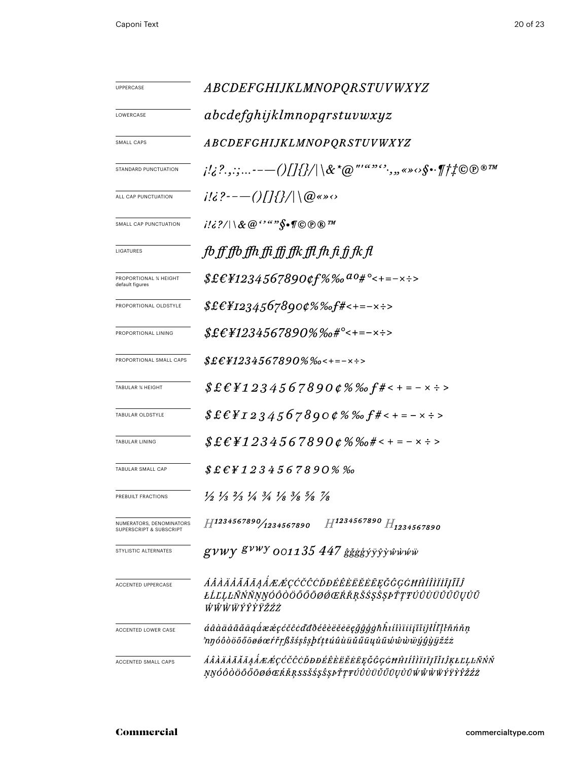| UPPERCASE                                           | ABCDEFGHIJKLMNOPQRSTUVWXYZ                                                                                                            |  |  |  |  |
|-----------------------------------------------------|---------------------------------------------------------------------------------------------------------------------------------------|--|--|--|--|
| LOWERCASE                                           | abcdefghijklmnopqrstuvwxyz                                                                                                            |  |  |  |  |
| SMALL CAPS                                          | <i>ABCDEFGHIJKLMNOPQRSTUVWXYZ</i>                                                                                                     |  |  |  |  |
| <b>STANDARD PUNCTUATION</b>                         |                                                                                                                                       |  |  |  |  |
| ALL CAP PUNCTUATION                                 | $i!i$ ?----()[]{}/ \@«» $\circ$                                                                                                       |  |  |  |  |
| SMALL CAP PUNCTUATION                               | $i'\mathcal{E}?\cap \mathcal{X} \otimes \mathcal{C}$ is a set $\mathcal{S} \bullet \mathcal{V} \odot \mathcal{D} \otimes \mathcal{V}$ |  |  |  |  |
| LIGATURES                                           | fb ff ffb ffh ffi ffi ffk ffl fh fi fj fk fl                                                                                          |  |  |  |  |
| PROPORTIONAL % HEIGHT<br>default figures            | $$£EY1234567890$ cf%‰ $a_0$ #°<+=-×÷>                                                                                                 |  |  |  |  |
| PROPORTIONAL OLDSTYLE                               | $$£E_{1234567890¢\%%of\#<+=-x:}>$                                                                                                     |  |  |  |  |
| PROPORTIONAL LINING                                 | $$£EY1234567890\% %o#°<+=-x:->$                                                                                                       |  |  |  |  |
| PROPORTIONAL SMALL CAPS                             | $$£EY1234567890\%$ %o < + = - x ÷ >                                                                                                   |  |  |  |  |
| <b>TABULAR % HEIGHT</b>                             | $$EEY12345678900\%%$ f#< + = - x ÷ >                                                                                                  |  |  |  |  |
| TABULAR OLDSTYLE                                    | $$EEYI2345678900\%%$ f#< + = - x ÷ >                                                                                                  |  |  |  |  |
| TABULAR LINING                                      | $$E$ £ $\neq$ $1234567890$ $\emptyset$ %% $\#$ < + = - × ÷ >                                                                          |  |  |  |  |
| TABULAR SMALL CAP                                   | $$E$ f $4234567890\%$ %                                                                                                               |  |  |  |  |
| PREBUILT FRACTIONS                                  | $\frac{1}{2}$ $\frac{1}{3}$ $\frac{2}{3}$ $\frac{1}{4}$ $\frac{3}{4}$ $\frac{1}{8}$ $\frac{3}{8}$ $\frac{5}{8}$ $\frac{7}{8}$         |  |  |  |  |
| NUMERATORS, DENOMINATORS<br>SUPERSCRIPT & SUBSCRIPT | $H^{1234567890}$ $H_{1234567890}$<br>H1234567890/1234567890                                                                           |  |  |  |  |
| STYLISTIC ALTERNATES                                | $g\nu\mu\gamma$ $g\nu\mu\gamma$ 001135 447 $\frac{2}{3}$ βιλλαφτική διαφερική προσπ                                                   |  |  |  |  |
| <b>ACCENTED UPPERCASE</b>                           | ÁÂÀÄĂÃĂĀĄÅÆÆÇĆČĈĊĎĐÉÊÈËĔĒĒĘĞĜĢĠĦĤÍÎÌÏĪĮĨĬĴ<br>ŁĹĽĻĿÑŃŇŅŊÓÔŎŎŐŐŌØØŒŔŘŖŠŚŞŜŞÞŤŢŦÚÛÙÜŬŰŪŲŮŨ<br>ŴŴŴŴÝŶŶŸŽŹŻ                               |  |  |  |  |
| <b>ACCENTED LOWER CASE</b>                          | áâàäåãăāąåææçćčĉċďđðéêèëĕēęǧĝģġħĥıíîìïiīįĩiĵłll'ļŀñńňņ<br>nyóôòöõőōøøœŕřŗßšśşŝşþťţŧúûùüŭűūųůũŵŵẁüýŷỳijžźż                             |  |  |  |  |
| ACCENTED SMALL CAPS                                 | ÁÂÀÄÅÃĂĀĄÅÆÆÇĆČĈÒĐĐÉÊÈËËĒĘĞĜĢĠĦĤIÍÎÌÏIĮĨĬIĴĶŁĽĻĿÑŃŇ<br>ŅŊÓÔÒÖŐŐŌØÓŒŔŘŖSSŠŚŞŜŞÞŤŢŦÚÛÙÜŬŰŪŲŮŨŴŴŴŸŸŶŶŽŹŻ                                 |  |  |  |  |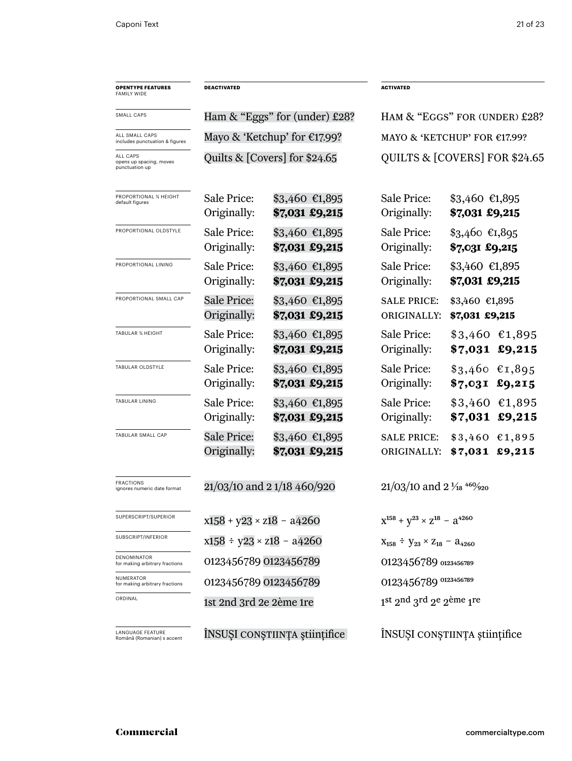| <b>OPENTYPE FEATURES</b><br><b>FAMILY WIDE</b>        | <b>DEACTIVATED</b>                |                                    |                                                                | <b>ACTIVATED</b>                                |  |
|-------------------------------------------------------|-----------------------------------|------------------------------------|----------------------------------------------------------------|-------------------------------------------------|--|
| SMALL CAPS                                            |                                   | Ham $\&$ "Eggs" for (under) £28?   |                                                                | HAM & "EGGS" FOR (UNDER) £28?                   |  |
| ALL SMALL CAPS<br>includes punctuation & figures      |                                   | Mayo & 'Ketchup' for €17.99?       |                                                                | MAYO & 'KETCHUP' FOR $£17.99$ ?                 |  |
| ALL CAPS<br>opens up spacing, moves<br>punctuation up | Quilts & $[Covers]$ for \$24.65   |                                    |                                                                | QUILTS & [COVERS] FOR \$24.65                   |  |
| PROPORTIONAL % HEIGHT<br>default figures              | Sale Price:<br>Originally:        | $$3,460$ €1,895<br>\$7,031 £9,215  | Sale Price:<br>Originally:                                     | $$3,460$ €1,895<br>\$7,031 £9,215               |  |
| PROPORTIONAL OLDSTYLE                                 | Sale Price:<br>Originally:        | $$3,460$ €1,895<br>\$7,031 £9,215  | Sale Price:<br>Originally:                                     | $$3,460$ €1,895<br>\$7,031 £9,215               |  |
| PROPORTIONAL LINING                                   | Sale Price:<br>Originally:        | $$3,460$ €1,895<br>\$7,031 £9,215  | Sale Price:<br>Originally:                                     | \$3,460 €1,895<br>\$7,031 £9,215                |  |
| PROPORTIONAL SMALL CAP                                | <b>Sale Price:</b><br>Originally: | $$3,460$ €1,895<br>\$7,031 £9,215  | <b>SALE PRICE:</b><br>ORIGINALLY:                              | \$3,460 €1,895<br>\$7,031 £9,215                |  |
| <b>TABULAR % HEIGHT</b>                               | Sale Price:<br>Originally:        | $$3,460$ €1,895<br>\$7,031 £9,215  | Sale Price:<br>Originally:                                     | $$3,460$ €1,895<br>\$7,031 £9,215               |  |
| TABULAR OLDSTYLE                                      | Sale Price:<br>Originally:        | $$3,460$ €1,895<br>\$7,031 £9,215  | Sale Price:<br>Originally:                                     | $$3,460$ €1,895<br>\$7,031 £9,215               |  |
| TABULAR LINING                                        | Sale Price:<br>Originally:        | $$3,460$ €1,895<br>\$7,031 £9,215  | Sale Price:<br>Originally:                                     | $$3,460$ €1,895<br>\$7,031 £9,215               |  |
| TABULAR SMALL CAP                                     | <b>Sale Price:</b><br>Originally: | $$3,460$ €1,895<br>\$7,031 £9,215  | <b>SALE PRICE:</b><br>ORIGINALLY:                              | $$3,460$ $$1,895$<br>$$7,031$ £9,215            |  |
| <b>FRACTIONS</b><br>ignores numeric date format       | 21/03/10 and 21/18 460/920        |                                    | $21/03/10$ and $2\frac{1}{18}$ <sup>460</sup> / <sub>920</sub> |                                                 |  |
| SUPERSCRIPT/SUPERIOR                                  |                                   | $x158 + y23 \times z18 - a4260$    |                                                                | $X^{158} + Y^{23} \times Z^{18} - A^{4260}$     |  |
| SUBSCRIPT/INFERIOR                                    |                                   | $x158 \div y23 \times z18 - a4260$ |                                                                | $X_{158}$ ÷ $Y_{23} \times Z_{18}$ – $a_{4260}$ |  |
| DENOMINATOR<br>for making arbitrary fractions         |                                   | 0123456789 0123456789              |                                                                | 0123456789 0123456789                           |  |
| NUMERATOR<br>for making arbitrary fractions           | 0123456789 0123456789             |                                    |                                                                | 0123456789 0123456789                           |  |
| ORDINAL                                               | 1st 2nd 3rd 2e 2ème 1re           |                                    | 1st 2nd 3rd 2e 2ème 1re                                        |                                                 |  |
| <b>LANGUAGE FEATURE</b><br>Română (Romanian) s accent | INSUȘI CONȘTIINȚA științifice     |                                    |                                                                | INSUȘI CONȘTIINȚA științifice                   |  |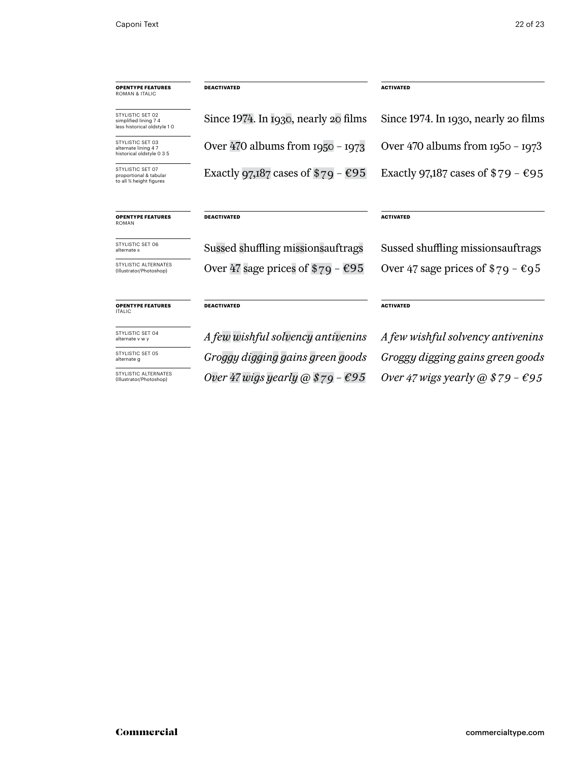| <b>OPENTYPE FEATURES</b><br>ROMAN & ITALIC                               | <b>DEACTIVATED</b>                   | <b>ACTIVATED</b>                            |
|--------------------------------------------------------------------------|--------------------------------------|---------------------------------------------|
| STYLISTIC SET 02<br>simplified lining 7 4<br>less historical oldstyle 10 | Since 1974. In 1930, nearly 20 films | Since 1974. In 1930, nearly 20 films        |
| STYLISTIC SET 03<br>alternate lining 47<br>historical oldstyle 0 3 5     | Over 470 albums from $1950 - 1973$   | Over 470 albums from $1950 - 1973$          |
| STYLISTIC SET 07<br>proportional & tabular<br>to all % height figures    | Exactly 97,187 cases of $$79 - $95$  | Exactly 97,187 cases of $$79 - $95$         |
| <b>OPENTYPE FEATURES</b><br>ROMAN                                        | <b>DEACTIVATED</b>                   | <b>ACTIVATED</b>                            |
| STYLISTIC SET 06<br>alternate s                                          | Sussed shuffling missions auftrags   | Sussed shuffling missions auftrags          |
| STYLISTIC ALTERNATES<br>(Illustrator/Photoshop)                          | Over 47 sage prices of $\$79 - \$95$ | Over 47 sage prices of $\$79 - \epsilon 95$ |
| <b>OPENTYPE FEATURES</b><br><b>ITALIC</b>                                | <b>DEACTIVATED</b>                   | <b>ACTIVATED</b>                            |
| STYLISTIC SET 04<br>alternate v w y                                      | A few wishful solvency antivenins    | A few wishful solvency antivenins           |
| STYLISTIC SET 05<br>alternate g                                          | Groggy digging gains green goods     | Groggy digging gains green goods            |

STYLISTIC ALTERNATI<br>(Illustrator/Photoshop)

*Over 47 wigs yearly @ \$79 – €95 Over 47 wigs yearly @ \$79 – €95*